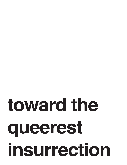# **toward the queerest insurrection**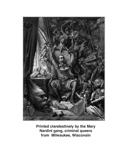

**Printed clandestinely by the Mary Nardini gang, criminal queers from Milwaukee, Wisconsin**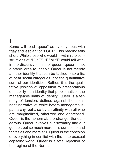#### **I** Some will read "queer" as synonymous with "gay and lesbian" or "LGBT". This reading falls short. While those who would fit within the constructions of "L", "G", "B" or "T" could fall within the discursive limits of queer, queer is not a stable area to inhabit. Queer is not merely another identity that can be tacked onto a list of neat social categories, nor the quantitative sum of our identities. Rather, it is the qualitative position of opposition to presentations of stability - an identity that problematizes the manageable limits of identity. Queer is a territory of tension, defined against the dominant narrative of white-hetero-monogamouspatriarchy, but also by an affinity with all who are marginalized, otherized and oppressed. Queer is the abnormal, the strange, the dangerous. Queer involves our sexuality and our gender, but so much more. It is our desire and fantasies and more still. Queer is the cohesion of everything in conflict with the heterosexual capitalist world. Queer is a total rejection of the regime of the Normal.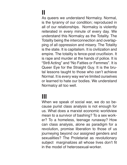### **II**

As queers we understand Normalcy. Normal, is the tyranny of our condition; reproduced in all of our relationships. Normalcy is violently reiterated in every minute of every day. We understand this Normalcy as the Totality. The Totality being the interconnection and overlapping of all oppression and misery. The Totality is the state. It is capitalism. It is civilization and empire. The totality is fence-post crucifixion. It is rape and murder at the hands of police. It is "Str8 Acting" and "No Fatties or Femmes". It is Queer Eye for the Straight Guy. It is the brutal lessons taught to those who can't achieve Normal. It is every way we've limited ourselves or learned to hate our bodies. We understand Normalcy all too well.

## **III**

When we speak of social war, we do so because purist class analysis is not enough for us. What does a marxist economic worldview mean to a survivor of bashing? To a sex worker? To a homeless, teenage runaway? How can class analysis, alone as paradigm for a revolution, promise liberation to those of us journeying beyond our assigned genders and sexualities? The Proletariat as revolutionary subject marginalizes all whose lives don't fit in the model of heterosexual-worker.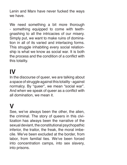Lenin and Marx have never fucked the ways we have.

We need something a bit more thorough - something equipped to come with teethgnashing to all the intricacies of our misery. Simply put, we want to make ruins of domination in all of its varied and interlacing forms. This struggle inhabiting every social relationship is what we know as social war. It is both the process and the condition of a conflict with this totality.

## **IV**

In the discourse of queer, we are talking about a space of struggle against this totality - against normalcy. By "queer", we mean "social war". And when we speak of queer as a conflict with all domination, we mean it.

## **V**

See, we've always been the other, the alien, the criminal. The story of queers in this civilization has always been the narrative of the sexual deviant, the constitutional psychopathic inferior, the traitor, the freak, the moral imbecile. We've been excluded at the border, from labor, from familial ties. We've been forced into concentration camps, into sex slavery, into prisons.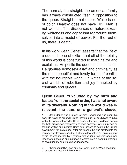The normal, the straight, the american family has always constructed itself in opposition to the queer. Straight is not queer. White is not of color. Healthy does not have HIV. Man is not woman. The discourses of heterosexuality, whiteness and capitalism reproduce themselves into a model of power. For the rest of us, there is death.

In his work, Jean Genet<sup>1</sup> asserts that the life of a queer, is one of exile - that all of the totality of this world is constructed to marginalize and exploit us. He posits the queer as the criminal. He glorifies homosexuality<sup>2</sup> and criminality as the most beautiful and lovely forms of conflict with the bourgeois world. He writes of the secret worlds of rebellion and joy inhabited by criminals and queers.

#### Quoth Genet, **"Excluded by my birth and tastes from the social order, I was not aware of its diversity. Nothing in the world was irrelevant: the stars on a general's sleeve,**

2 "homosexuality" used only as Genet uses it. When speaking of queers, we mean infinitely more.

<sup>1</sup> Jean Genet was a queer, criminal, vagabond who spent his early life traveling around Europe leaving a trail of sordid affairs in his wake. He was sentenced to life in prison after nearly a dozen arrests for theft, prostitution, vagrancy and lewd behavior. While in prison he took up writing and inspired Sarte and Picasso to petition the French government for his release. After his release, he was drafted into the military, only to be released for fucking fellow soldiers. The remainder of his life was marked by flirtations with various revolutionaries, philosophers, uprisings and intifadas. Genet's life is a beautiful example of revolutionary-criminal-queer-decadence.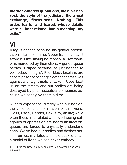**the stock-market quotations, the olive harvest, the style of the judiciary, the wheat exchange, flower-beds. Nothing. This order, fearful and feared, whose details were all inter-related, had a meaning: my exile."**

## **VI**

A fag is bashed because his gender presentation is far too femme. A poor transman can't afford his life-saving hormones. A sex worker is murdered by their client. A genderqueer persyn is raped because ze just needed to be "fucked straight". Four black lesbians are sent to prison for daring to defend themselves against a straight-male attacker.<sup>1</sup> Cops beat us on the streets and our bodies are being destroyed by pharmaceutical companies because we can't give them a dime.

Queers experience, directly with our bodies, the violence and domination of this world. Class, Race, Gender, Sexuality, Ability; while often these interrelated and overlapping categories of oppression are lost to abstraction, queers are forced to physically understand each. We've had our bodies and desires stolen from us, mutilated and sold back to us as a model of living we can never embody.

Free the New Jersey 4. And let's free everyone else while we're at it.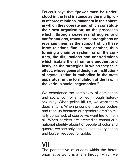Foucault says that **"power must be understood in the first instance as the multiplicity of force relations immanent in the sphere in which they operate and which constitute their own organization; as the processes which, through ceaseless struggles and confrontations, transforms, strengthens or reverses them; as the support which these force relations find in one another, thus forming a chain or system, or on the contrary, the disjunctions and contradictions which isolate them from one another; and lastly, as the strategies in which they take effect, whose general design or institutional crystallization is embodied in the state apparatus, in the formulation of the law, in the various social hegemonies."**

We experience the complexity of domination and social control amplified through heterosexuality. When police kill us, we want them dead in turn. When prisons entrap our bodies and rape us because our genders aren't similarly contained, of course we want fire to them all. When borders are erected to construct a national identity absent of people of color and queers, we see only one solution: every nation and border reduced to rubble.

## **VII**

The perspective of queers within the heteronormative world is a lens through which we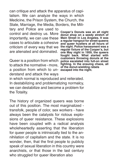can critique and attack the apparatus of capitalism. We can analyze the ways in which Medicine, the Prison System, the Church, the State, Marriage, the Media, Borders, the Mili-

tary and Police are used to control and destroy us. More importantly, we can use these cases to articulate a cohesive criticism of every way that we are alienated and dominated.

Queer is a position from which to attack the normative - more, a position from which to understand and attack the ways

**Cooper's Donuts was an all night donut shop on a seedy stretch of Main Street in Los Angeles. It was a regular hangout for street queens and queer hustlers at all hours of the night. Police harassment was a regular fixture of the Cooper's, but one May night in 1959, the queers fought back. What started with customers throwing donuts at the police escalated into full-on street fighting. In the ensuing chaos, all of the donut-wielding rebels escaped into the night.**

in which normal is reproduced and reiterated. In destabilizing and problematizing normalcy, we can destabilize and become a problem for the Totality.

The history of organized queers was borne out of this position. The most marginalized transfolk, people of color, sex workers - have always been the catalysts for riotous explosions of queer resistance. These explosions have been coupled with a radical analysis wholeheartedly asserting that the liberation for queer people is intrinsically tied to the annihilation of capitalism and the state. It is no wonder, then, that the first people to publicly speak of sexual liberation in this country were anarchists, or that those in the last century who struggled for queer liberation also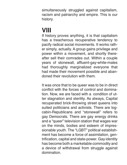simultaneously struggled against capitalism, racism and patriarchy and empire. This is our history.

# **VIII**

If history proves anything, it is that capitalism has a treacherous recuperative tendency to pacify radical social movements. It works rather simply, actually. A group gains privilege and power within a movement, and shortly thereafter sell their comrades out. Within a couple years of stonewall, affluent-gay-white-males had thoroughly marginalized everyone that had made their movement possible and abandoned their revolution with them.

It was once that to be queer was to be in direct conflict with the forces of control and domination. Now, we are faced with a condition of utter stagnation and sterility. As always, Capital recuperated brick-throwing street queens into suited politicians and activists. There are logcabin-Republicans and "stonewall" refers to gay Democrats. There are gay energy drinks and a "queer" television station that wages war on the minds, bodies and esteem of impressionable youth. The "LGBT" political establishment has become a force of assimilation, gentrification, capital and state-power. Gay identity has become both a marketable commodity and a device of withdrawal from struggle against domination.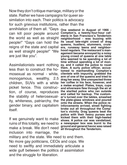Now they don't critique marriage, military or the state. Rather we have campaigns for queer assimilation into each. Their politics is advocacy for such grievous institutions, rather than the

annihilation of them all. "Gays can kill poor people around the world as well as straight people!" "Gays can hold the reigns of the state and capital as well straight people!" "We are just like you".

Assimilationists want nothing less than to construct the homosexual as normal - white, monogamous, wealthy, 2.5 children, SUVs with a white picket fence. This construction, of course, reproduces the stability of heterosexuality, whiteness, patriarchy, the gender binary, and capitalism itself.

If we genuinely want to make ruins of this totality, we need to make a break. We don't need inclusion into marriage, the

**One weekend in August of 1966 - Compton's, a twenty-four-hour caf- eteria in San Francisco's Tenderloin neighborhood - was buzzing with its usual late-night crowd of drag queens, hustlers, slummers, cruisers, runaway teens and neighborhood regulars. The restaurant's management became annoyed by a noisy young crowd of queens at one table who seemed to be spending a lot of time without spending a lot of money, and it called the police to roust them. A surly police officer, accustomed to manhandling Compton's clientele with impunity, grabbed the arm of one of the queens and tried to drag her away. She unexpected threw her coffee in his face, however, and a melee erupted: Plates, trays, cups and silverware flew through the air at the startled police who ran outside and called for backup. The custom- er's turned over the tables, smashed the plate-glass windows and poured**  inforcements arrived, street fighting<br>broke out all throughout the Compton's vicinity. Drag queens beat the **police with their heavy purses and kicked them with their high-heeled shoes. A police car was vandalized, a newspaper box was burnt to the ground and general havoc was raised all throughout the Tenderloin.**

military and the state. We need to end them. No more gay politicians, CEOs and cops. We need to swiftly and immediately articulate a wide gulf between the politics of assimilation and the struggle for liberation.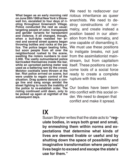**What began as an early morning raid**  wall Inn, escalated to four days of ri-<br>oting throughout Greenwich Village. **Police conducted the raid as usual; targeting people of color, transpeople and gender variants for harassment and violence. It all changed, though, when a bull-dyke resisted her arrest and several street queens began throwing bottles and rocks at the police. The police began beating folks, but soon people from all over the neighborhood rushed to the scene, swelling the rioters numbers to over 2,000. The vastly outnumbered police barricaded themselves inside the bar, while an uprooted parking meter was used as a battering ram by the crowd. Molotov cocktails were thrown at the bar. Riot police arrived on scene, but were unable to regain control of the**  ga line and sang songs amidst the **street fighting to mock the inability of the police to re-establish order. The rioting continued until dawn, only to be picked up again at nightfall of the subsequent days.**

We need to rediscover our riotous inheritance as queer anarchists. We need to destroy constructions of normalcy, and create instead a position based in our alienation from this normalcy, and one capable of dismantling it. We must use these positions to instigate breaks, not just from the assimilationist mainstream, but from capitalism itself. These positions can become tools of a social force ready to create a complete rupture with this world.

Our bodies have been born into conflict with this social order. We need to deepen that conflict and make it spread.

## **IX**

Susan Stryker writes that the state acts to **"regulate bodies, in ways both great and small, by enmeshing them within norms and expectations that determine what kinds of lives are deemed livable or useful and by shutting down the space of possibility and imaginative transformation where peoples' lives begin to exceed and escape the state's use for them."**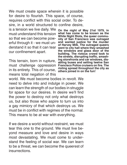We must create space wherein it is possible for desire to flourish. This space, of course, requires conflict with this social order. To desire, in a world structured to confine desire,

is a tension we live daily. We must understand this tension so that we can become powerful through it - we must understand it so that it can tear our confinement apart.

This terrain, born in rupture, must challenge oppression in its entirety. This of course, **others joined in on the fun!**means total negation of this

**On the night of May 21st 1979, in what has come to be known as the White Night Riots, the queer community of San Francisco was outraged and wanted justice for the murder of Harvey Milk. The outraged queers went to city hall where they smashed the windows and glass door of the building. The riotous crowd took to the streefronts and car windows, disabling buses and setting twelve San Francisco Police cruisers on fire. The rioting spread throughout the city as** 

world. We must become bodies in revolt. We need to delve into and indulge in power. We can learn the strength of our bodies in struggle for space for our desires. In desire we'll find the power to destroy not only what destroys us, but also those who aspire to turn us into a gay mimicry of that which destroys us. We must be in conflict with regimes of the normal. This means to be at war with everything.

If we desire a world without restraint, we must tear this one to the ground. We must live beyond measure and love and desire in ways most devastating. We must come to understand the feeling of social war. We can learn to be a threat, we can become the queerest of insurrections.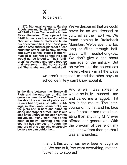

**In 1970, Stonewall veterans, Marsha P. A. Street Transvestite Action Property Revolutionaries. They opened the STAR house, a radical version of the "house" culture of black and latina <u>vided a safe and free place for queer</u> and trans street kids to stay. Marsha and Sylvia as the "House Mothers" hustled to pay rent so that the kids would not be forced to. Their "children" scavenged and stole food so that everyone in the house could eat. That's what we call mutual aid!**

We've despaired that we could never be as well-dressed or cultured as the Fab Five. We found nothing in Brokeback Mountain. We've spent far too long shuffling through hallways with heads-hung-low. We don't give a shit about marriage or the military. But oh we've had the hottest sex - everywhere - in all the ways

we aren't supposed to and the other boys at school definitely can't know about it.

**In the time between the Stonewall Riots and the outbreak of HIV, the queer community of New York saw the rise of a culture of public sex. Queers had orgies in squatted buildings, in abandoned semi-trucks, on the piers and in bars and clubs all along Christopher street. This is our idea of voluntary association of free individuals! Many mark this as the most sexually liberated time this country has ever seen. Though, the authors of this zine wholeheartedly believe we can outdo them.**

And when I was sixteen a would-be-bully pushed me and called me a faggot. I hit him in the mouth. The intercourse of my fist and his face was far sexier and more liberating than anything MTV ever offered our generation. With the pre-cum of desire on my lips I knew from then on that I was an anarchist.

In short, this world has never been enough for us. We say to it, "we want everything, motherfucker, try to stop us!"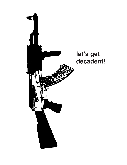